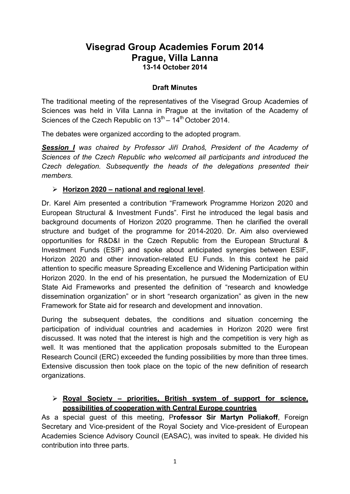# **Visegrad Group Academies Forum 2014 Prague, Villa Lanna 13-14 October 2014**

#### **Draft Minutes**

The traditional meeting of the representatives of the Visegrad Group Academies of Sciences was held in Villa Lanna in Prague at the invitation of the Academy of Sciences of the Czech Republic on  $13<sup>th</sup> - 14<sup>th</sup>$  October 2014.

The debates were organized according to the adopted program.

*Session I was chaired by Professor Jiří Drahoš, President of the Academy of Sciences of the Czech Republic who welcomed all participants and introduced the Czech delegation. Subsequently the heads of the delegations presented their members.*

#### **Horizon 2020 – national and regional level**.

Dr. Karel Aim presented a contribution "Framework Programme Horizon 2020 and European Structural & Investment Funds". First he introduced the legal basis and background documents of Horizon 2020 programme. Then he clarified the overall structure and budget of the programme for 2014-2020. Dr. Aim also overviewed opportunities for R&D&I in the Czech Republic from the European Structural & Investment Funds (ESIF) and spoke about anticipated synergies between ESIF, Horizon 2020 and other innovation-related EU Funds. In this context he paid attention to specific measure Spreading Excellence and Widening Participation within Horizon 2020. In the end of his presentation, he pursued the Modernization of EU State Aid Frameworks and presented the definition of "research and knowledge dissemination organization" or in short "research organization" as given in the new Framework for State aid for research and development and innovation.

During the subsequent debates, the conditions and situation concerning the participation of individual countries and academies in Horizon 2020 were first discussed. It was noted that the interest is high and the competition is very high as well. It was mentioned that the application proposals submitted to the European Research Council (ERC) exceeded the funding possibilities by more than three times. Extensive discussion then took place on the topic of the new definition of research organizations.

#### **Royal Society – priorities, British system of support for science, possibilities of cooperation with Central Europe countries**

As a special guest of this meeting, P**rofessor Sir Martyn Poliakoff**, Foreign Secretary and Vice-president of the Royal Society and Vice-president of European Academies Science Advisory Council (EASAC), was invited to speak. He divided his contribution into three parts.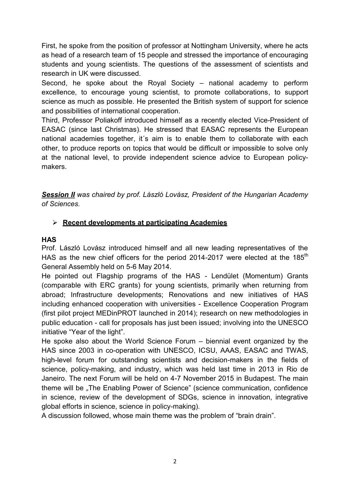First, he spoke from the position of professor at Nottingham University, where he acts as head of a research team of 15 people and stressed the importance of encouraging students and young scientists. The questions of the assessment of scientists and research in UK were discussed.

Second, he spoke about the Royal Society – national academy to perform excellence, to encourage young scientist, to promote collaborations, to support science as much as possible. He presented the British system of support for science and possibilities of international cooperation.

Third, Professor Poliakoff introduced himself as a recently elected Vice-President of EASAC (since last Christmas). He stressed that EASAC represents the European national academies together, it´s aim is to enable them to collaborate with each other, to produce reports on topics that would be difficult or impossible to solve only at the national level, to provide independent science advice to European policymakers.

*Session II was chaired by prof. László Lovász, President of the Hungarian Academy of Sciences.* 

### **Recent developments at participating Academies**

#### **HAS**

Prof. László Lovász introduced himself and all new leading representatives of the HAS as the new chief officers for the period 2014-2017 were elected at the  $185<sup>th</sup>$ General Assembly held on 5-6 May 2014.

He pointed out Flagship programs of the HAS - Lendület (Momentum) Grants (comparable with ERC grants) for young scientists, primarily when returning from abroad; Infrastructure developments; Renovations and new initiatives of HAS including enhanced cooperation with universities - Excellence Cooperation Program (first pilot project MEDinPROT launched in 2014); research on new methodologies in public education - call for proposals has just been issued; involving into the UNESCO initiative "Year of the light".

He spoke also about the World Science Forum – biennial event organized by the HAS since 2003 in co-operation with UNESCO, ICSU, AAAS, EASAC and TWAS, high-level forum for outstanding scientists and decision-makers in the fields of science, policy-making, and industry, which was held last time in 2013 in Rio de Janeiro. The next Forum will be held on 4-7 November 2015 in Budapest. The main theme will be "The Enabling Power of Science" (science communication, confidence in science, review of the development of SDGs, science in innovation, integrative global efforts in science, science in policy-making).

A discussion followed, whose main theme was the problem of "brain drain".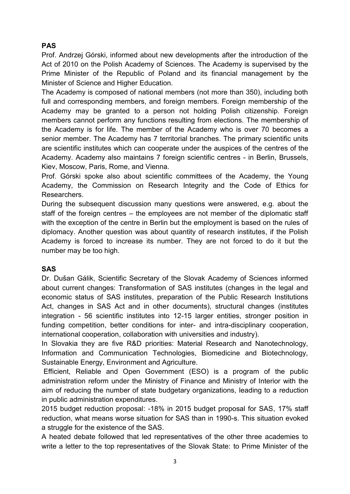## **PAS**

Prof. Andrzej Górski, informed about new developments after the introduction of the Act of 2010 on the Polish Academy of Sciences. The Academy is supervised by the Prime Minister of the Republic of Poland and its financial management by the Minister of Science and Higher Education.

The Academy is composed of national members (not more than 350), including both full and corresponding members, and foreign members. Foreign membership of the Academy may be granted to a person not holding Polish citizenship. Foreign members cannot perform any functions resulting from elections. The membership of the Academy is for life. The member of the Academy who is over 70 becomes a senior member. The Academy has 7 territorial branches. The primary scientific units are scientific institutes which can cooperate under the auspices of the centres of the Academy. Academy also maintains 7 foreign scientific centres - in Berlin, Brussels, Kiev, Moscow, Paris, Rome, and Vienna.

Prof. Górski spoke also about scientific committees of the Academy, the Young Academy, the Commission on Research Integrity and the Code of Ethics for Researchers.

During the subsequent discussion many questions were answered, e.g. about the staff of the foreign centres – the employees are not member of the diplomatic staff with the exception of the centre in Berlin but the employment is based on the rules of diplomacy. Another question was about quantity of research institutes, if the Polish Academy is forced to increase its number. They are not forced to do it but the number may be too high.

### **SAS**

Dr. Dušan Gálik, Scientific Secretary of the Slovak Academy of Sciences informed about current changes: Transformation of SAS institutes (changes in the legal and economic status of SAS institutes, preparation of the Public Research Institutions Act, changes in SAS Act and in other documents), structural changes (institutes integration - 56 scientific institutes into 12-15 larger entities, stronger position in funding competition, better conditions for inter- and intra-disciplinary cooperation, international cooperation, collaboration with universities and industry).

In Slovakia they are five R&D priorities: Material Research and Nanotechnology, Information and Communication Technologies, Biomedicine and Biotechnology, Sustainable Energy, Environment and Agriculture.

Efficient, Reliable and Open Government (ESO) is a program of the public administration reform under the Ministry of Finance and Ministry of Interior with the aim of reducing the number of state budgetary organizations, leading to a reduction in public administration expenditures.

2015 budget reduction proposal: -18% in 2015 budget proposal for SAS, 17% staff reduction, what means worse situation for SAS than in 1990-s. This situation evoked a struggle for the existence of the SAS.

A heated debate followed that led representatives of the other three academies to write a letter to the top representatives of the Slovak State: to Prime Minister of the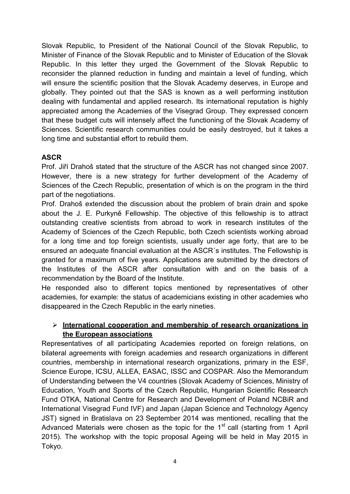Slovak Republic, to President of the National Council of the Slovak Republic, to Minister of Finance of the Slovak Republic and to Minister of Education of the Slovak Republic. In this letter they urged the Government of the Slovak Republic to reconsider the planned reduction in funding and maintain a level of funding, which will ensure the scientific position that the Slovak Academy deserves, in Europe and globally. They pointed out that the SAS is known as a well performing institution dealing with fundamental and applied research. Its international reputation is highly appreciated among the Academies of the Visegrad Group. They expressed concern that these budget cuts will intensely affect the functioning of the Slovak Academy of Sciences. Scientific research communities could be easily destroyed, but it takes a long time and substantial effort to rebuild them.

### **ASCR**

Prof. Jiří Drahoš stated that the structure of the ASCR has not changed since 2007. However, there is a new strategy for further development of the Academy of Sciences of the Czech Republic, presentation of which is on the program in the third part of the negotiations.

Prof. Drahoš extended the discussion about the problem of brain drain and spoke about the J. E. Purkyně Fellowship. The objective of this fellowship is to attract outstanding creative scientists from abroad to work in research institutes of the Academy of Sciences of the Czech Republic, both Czech scientists working abroad for a long time and top foreign scientists, usually under age forty, that are to be ensured an adequate financial evaluation at the ASCR´s institutes. The Fellowship is granted for a maximum of five years. Applications are submitted by the directors of the Institutes of the ASCR after consultation with and on the basis of a recommendation by the Board of the Institute.

He responded also to different topics mentioned by representatives of other academies, for example: the status of academicians existing in other academies who disappeared in the Czech Republic in the early nineties.

### **International cooperation and membership of research organizations in the European associations**

Representatives of all participating Academies reported on foreign relations, on bilateral agreements with foreign academies and research organizations in different countries, membership in international research organizations, primary in the ESF, Science Europe, ICSU, ALLEA, EASAC, ISSC and COSPAR. Also the Memorandum of Understanding between the V4 countries (Slovak Academy of Sciences, Ministry of Education, Youth and Sports of the Czech Republic, Hungarian Scientific Research Fund OTKA, National Centre for Research and Development of Poland NCBiR and International Visegrad Fund IVF) and Japan (Japan Science and Technology Agency JST) signed in Bratislava on 23 September 2014 was mentioned, recalling that the Advanced Materials were chosen as the topic for the  $1<sup>st</sup>$  call (starting from 1 April 2015). The workshop with the topic proposal Ageing will be held in May 2015 in Tokyo.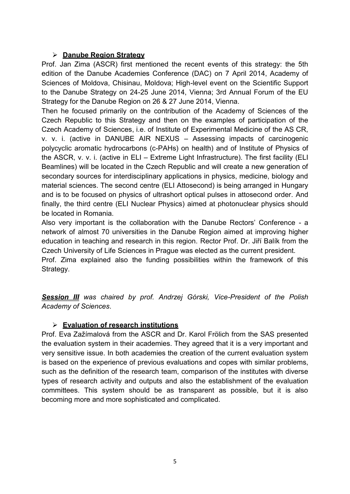#### **Danube Region Strategy**

Prof. Jan Zima (ASCR) first mentioned the recent events of this strategy: the 5th edition of the Danube Academies Conference (DAC) on 7 April 2014, Academy of Sciences of Moldova, Chisinau, Moldova; High-level event on the Scientific Support to the Danube Strategy on 24-25 June 2014, Vienna; 3rd Annual Forum of the EU Strategy for the Danube Region on 26 & 27 June 2014, Vienna.

Then he focused primarily on the contribution of the Academy of Sciences of the Czech Republic to this Strategy and then on the examples of participation of the Czech Academy of Sciences, i.e. of Institute of Experimental Medicine of the AS CR, v. v. i. (active in DANUBE AIR NEXUS – Assessing impacts of carcinogenic polycyclic aromatic hydrocarbons (c-PAHs) on health) and of Institute of Physics of the ASCR, v. v. i. (active in ELI – Extreme Light Infrastructure). The first facility (ELI Beamlines) will be located in the Czech Republic and will create a new generation of secondary sources for interdisciplinary applications in physics, medicine, biology and material sciences. The second centre (ELI Attosecond) is being arranged in Hungary and is to be focused on physics of ultrashort optical pulses in attosecond order. And finally, the third centre (ELI Nuclear Physics) aimed at photonuclear physics should be located in Romania.

Also very important is the collaboration with the Danube Rectors' Conference - a network of almost 70 universities in the Danube Region aimed at improving higher education in teaching and research in this region. Rector Prof. Dr. Jiří Balík from the Czech University of Life Sciences in Prague was elected as the current president. Prof. Zima explained also the funding possibilities within the framework of this

Strategy.

*Session III was chaired by prof. Andrzej Górski, Vice-President of the Polish Academy of Sciences*.

#### **Evaluation of research institutions**

Prof. Eva Zažímalová from the ASCR and Dr. Karol Frölich from the SAS presented the evaluation system in their academies. They agreed that it is a very important and very sensitive issue. In both academies the creation of the current evaluation system is based on the experience of previous evaluations and copes with similar problems, such as the definition of the research team, comparison of the institutes with diverse types of research activity and outputs and also the establishment of the evaluation committees. This system should be as transparent as possible, but it is also becoming more and more sophisticated and complicated.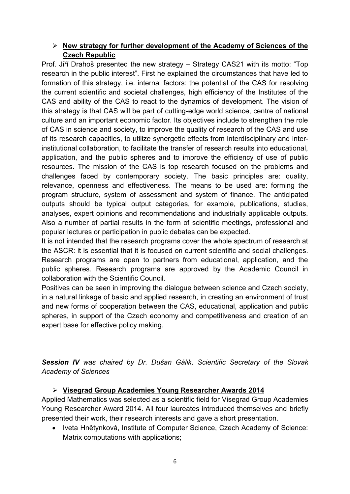### **New strategy for further development of the Academy of Sciences of the Czech Republic**

Prof. Jiří Drahoš presented the new strategy – Strategy CAS21 with its motto: "Top research in the public interest". First he explained the circumstances that have led to formation of this strategy, i.e. internal factors: the potential of the CAS for resolving the current scientific and societal challenges, high efficiency of the Institutes of the CAS and ability of the CAS to react to the dynamics of development. The vision of this strategy is that CAS will be part of cutting-edge world science, centre of national culture and an important economic factor. Its objectives include to strengthen the role of CAS in science and society, to improve the quality of research of the CAS and use of its research capacities, to utilize synergetic effects from interdisciplinary and interinstitutional collaboration, to facilitate the transfer of research results into educational, application, and the public spheres and to improve the efficiency of use of public resources. The mission of the CAS is top research focused on the problems and challenges faced by contemporary society. The basic principles are: quality, relevance, openness and effectiveness. The means to be used are: forming the program structure, system of assessment and system of finance. The anticipated outputs should be typical output categories, for example, publications, studies, analyses, expert opinions and recommendations and industrially applicable outputs. Also a number of partial results in the form of scientific meetings, professional and popular lectures or participation in public debates can be expected.

It is not intended that the research programs cover the whole spectrum of research at the ASCR: it is essential that it is focused on current scientific and social challenges. Research programs are open to partners from educational, application, and the public spheres. Research programs are approved by the Academic Council in collaboration with the Scientific Council.

Positives can be seen in improving the dialogue between science and Czech society, in a natural linkage of basic and applied research, in creating an environment of trust and new forms of cooperation between the CAS, educational, application and public spheres, in support of the Czech economy and competitiveness and creation of an expert base for effective policy making.

*Session IV was chaired by Dr. Dušan Gálik, Scientific Secretary of the Slovak Academy of Sciences*

### **Visegrad Group Academies Young Researcher Awards 2014**

Applied Mathematics was selected as a scientific field for Visegrad Group Academies Young Researcher Award 2014. All four laureates introduced themselves and briefly presented their work, their research interests and gave a short presentation.

• Iveta Hnětynková, Institute of Computer Science, Czech Academy of Science: Matrix computations with applications;